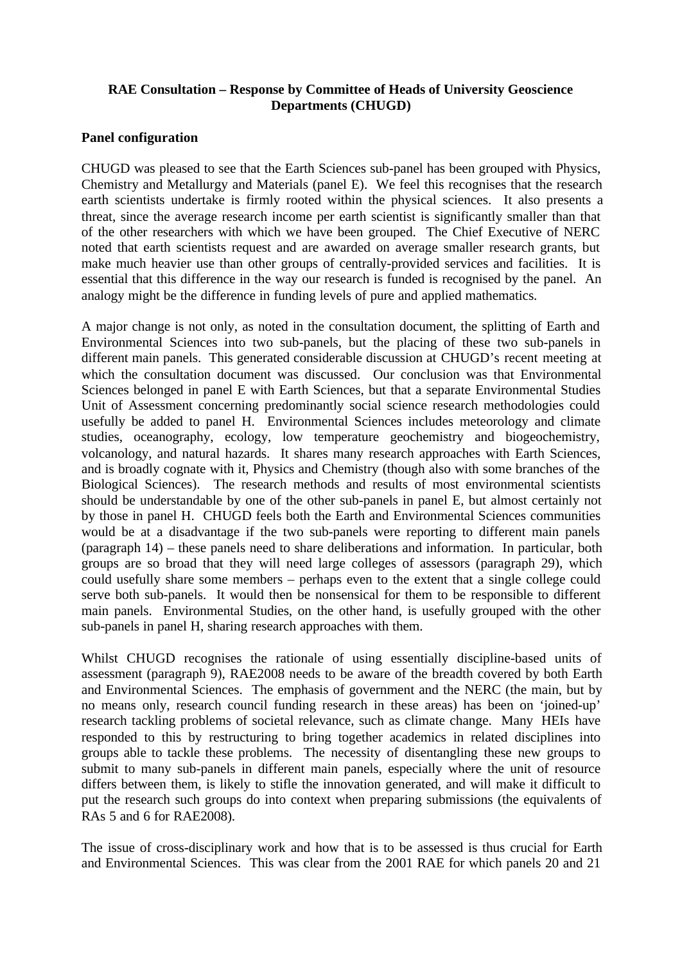## **RAE Consultation – Response by Committee of Heads of University Geoscience Departments (CHUGD)**

## **Panel configuration**

CHUGD was pleased to see that the Earth Sciences sub-panel has been grouped with Physics, Chemistry and Metallurgy and Materials (panel E). We feel this recognises that the research earth scientists undertake is firmly rooted within the physical sciences. It also presents a threat, since the average research income per earth scientist is significantly smaller than that of the other researchers with which we have been grouped. The Chief Executive of NERC noted that earth scientists request and are awarded on average smaller research grants, but make much heavier use than other groups of centrally-provided services and facilities. It is essential that this difference in the way our research is funded is recognised by the panel. An analogy might be the difference in funding levels of pure and applied mathematics.

A major change is not only, as noted in the consultation document, the splitting of Earth and Environmental Sciences into two sub-panels, but the placing of these two sub-panels in different main panels. This generated considerable discussion at CHUGD's recent meeting at which the consultation document was discussed. Our conclusion was that Environmental Sciences belonged in panel E with Earth Sciences, but that a separate Environmental Studies Unit of Assessment concerning predominantly social science research methodologies could usefully be added to panel H. Environmental Sciences includes meteorology and climate studies, oceanography, ecology, low temperature geochemistry and biogeochemistry, volcanology, and natural hazards. It shares many research approaches with Earth Sciences, and is broadly cognate with it, Physics and Chemistry (though also with some branches of the Biological Sciences). The research methods and results of most environmental scientists should be understandable by one of the other sub-panels in panel E, but almost certainly not by those in panel H. CHUGD feels both the Earth and Environmental Sciences communities would be at a disadvantage if the two sub-panels were reporting to different main panels (paragraph 14) – these panels need to share deliberations and information. In particular, both groups are so broad that they will need large colleges of assessors (paragraph 29), which could usefully share some members – perhaps even to the extent that a single college could serve both sub-panels. It would then be nonsensical for them to be responsible to different main panels. Environmental Studies, on the other hand, is usefully grouped with the other sub-panels in panel H, sharing research approaches with them.

Whilst CHUGD recognises the rationale of using essentially discipline-based units of assessment (paragraph 9), RAE2008 needs to be aware of the breadth covered by both Earth and Environmental Sciences. The emphasis of government and the NERC (the main, but by no means only, research council funding research in these areas) has been on 'joined-up' research tackling problems of societal relevance, such as climate change. Many HEIs have responded to this by restructuring to bring together academics in related disciplines into groups able to tackle these problems. The necessity of disentangling these new groups to submit to many sub-panels in different main panels, especially where the unit of resource differs between them, is likely to stifle the innovation generated, and will make it difficult to put the research such groups do into context when preparing submissions (the equivalents of RAs 5 and 6 for RAE2008).

The issue of cross-disciplinary work and how that is to be assessed is thus crucial for Earth and Environmental Sciences. This was clear from the 2001 RAE for which panels 20 and 21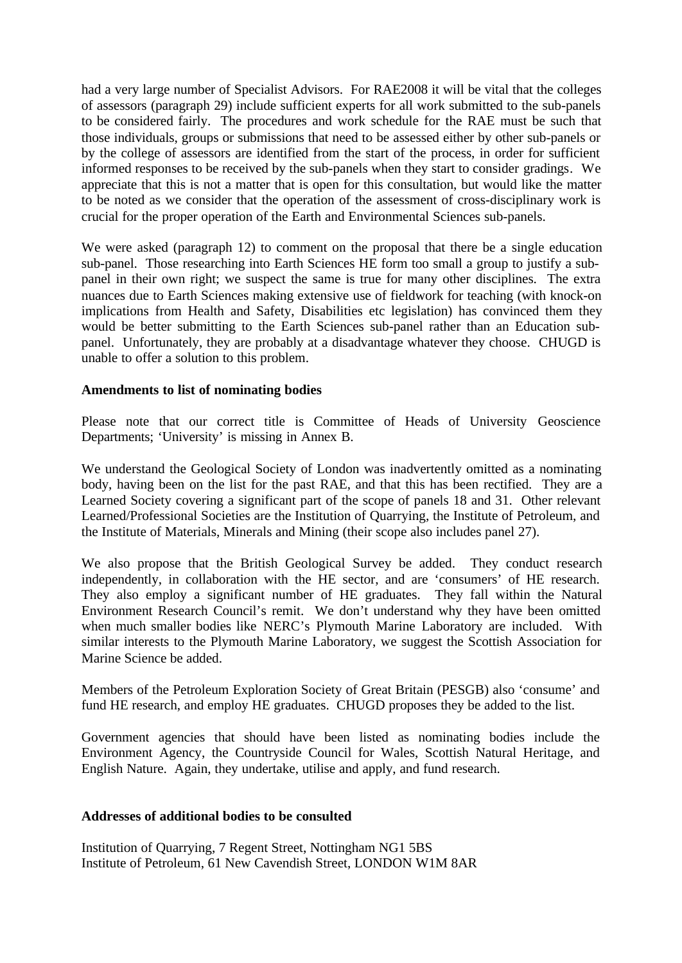had a very large number of Specialist Advisors. For RAE2008 it will be vital that the colleges of assessors (paragraph 29) include sufficient experts for all work submitted to the sub-panels to be considered fairly. The procedures and work schedule for the RAE must be such that those individuals, groups or submissions that need to be assessed either by other sub-panels or by the college of assessors are identified from the start of the process, in order for sufficient informed responses to be received by the sub-panels when they start to consider gradings. We appreciate that this is not a matter that is open for this consultation, but would like the matter to be noted as we consider that the operation of the assessment of cross-disciplinary work is crucial for the proper operation of the Earth and Environmental Sciences sub-panels.

We were asked (paragraph 12) to comment on the proposal that there be a single education sub-panel. Those researching into Earth Sciences HE form too small a group to justify a subpanel in their own right; we suspect the same is true for many other disciplines. The extra nuances due to Earth Sciences making extensive use of fieldwork for teaching (with knock-on implications from Health and Safety, Disabilities etc legislation) has convinced them they would be better submitting to the Earth Sciences sub-panel rather than an Education subpanel. Unfortunately, they are probably at a disadvantage whatever they choose. CHUGD is unable to offer a solution to this problem.

## **Amendments to list of nominating bodies**

Please note that our correct title is Committee of Heads of University Geoscience Departments; 'University' is missing in Annex B.

We understand the Geological Society of London was inadvertently omitted as a nominating body, having been on the list for the past RAE, and that this has been rectified. They are a Learned Society covering a significant part of the scope of panels 18 and 31. Other relevant Learned/Professional Societies are the Institution of Quarrying, the Institute of Petroleum, and the Institute of Materials, Minerals and Mining (their scope also includes panel 27).

We also propose that the British Geological Survey be added. They conduct research independently, in collaboration with the HE sector, and are 'consumers' of HE research. They also employ a significant number of HE graduates. They fall within the Natural Environment Research Council's remit. We don't understand why they have been omitted when much smaller bodies like NERC's Plymouth Marine Laboratory are included. With similar interests to the Plymouth Marine Laboratory, we suggest the Scottish Association for Marine Science be added.

Members of the Petroleum Exploration Society of Great Britain (PESGB) also 'consume' and fund HE research, and employ HE graduates. CHUGD proposes they be added to the list.

Government agencies that should have been listed as nominating bodies include the Environment Agency, the Countryside Council for Wales, Scottish Natural Heritage, and English Nature. Again, they undertake, utilise and apply, and fund research.

## **Addresses of additional bodies to be consulted**

Institution of Quarrying, 7 Regent Street, Nottingham NG1 5BS Institute of Petroleum, 61 New Cavendish Street, LONDON W1M 8AR